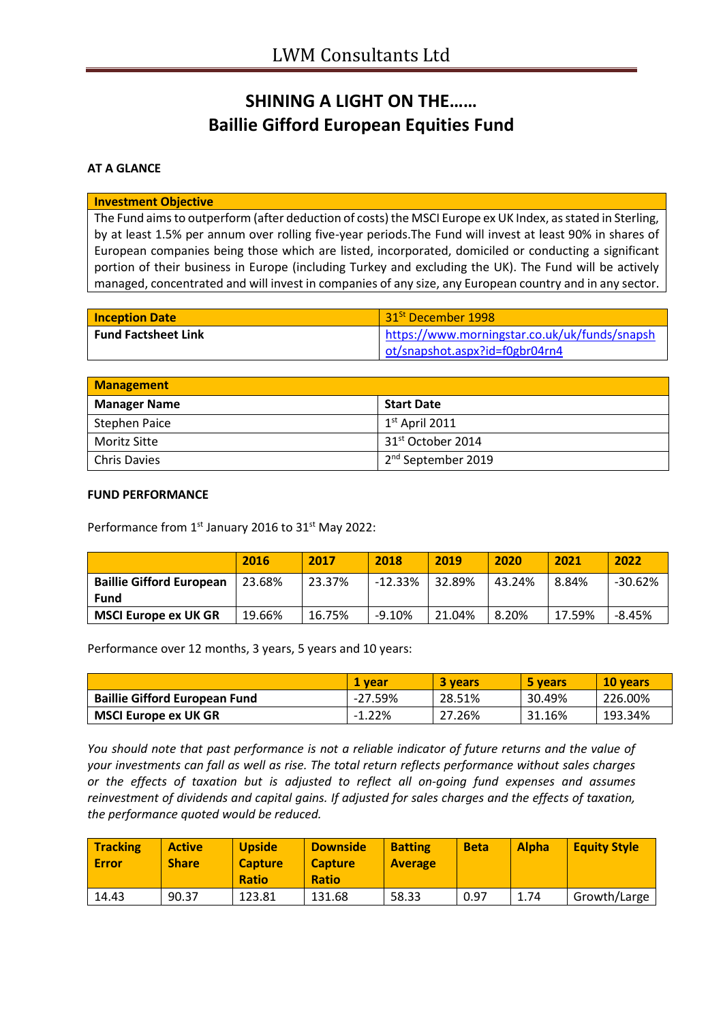# **SHINING A LIGHT ON THE…… Baillie Gifford European Equities Fund**

## **AT A GLANCE**

#### **Investment Objective**

The Fund aims to outperform (after deduction of costs) the MSCI Europe ex UK Index, as stated in Sterling, by at least 1.5% per annum over rolling five-year periods.The Fund will invest at least 90% in shares of European companies being those which are listed, incorporated, domiciled or conducting a significant portion of their business in Europe (including Turkey and excluding the UK). The Fund will be actively managed, concentrated and will invest in companies of any size, any European country and in any sector.

| <b>Inception Date</b>      | 31 <sup>St</sup> December 1998                |
|----------------------------|-----------------------------------------------|
| <b>Fund Factsheet Link</b> | https://www.morningstar.co.uk/uk/funds/snapsh |
|                            | ot/snapshot.aspx?id=f0gbr04rn4                |

| <b>Management</b>   |                                |  |
|---------------------|--------------------------------|--|
| <b>Manager Name</b> | <b>Start Date</b>              |  |
| Stephen Paice       | $1st$ April 2011               |  |
| Moritz Sitte        | 31 <sup>st</sup> October 2014  |  |
| <b>Chris Davies</b> | 2 <sup>nd</sup> September 2019 |  |

### **FUND PERFORMANCE**

Performance from 1<sup>st</sup> January 2016 to 31<sup>st</sup> May 2022:

|                                         | 2016   | 2017   | 2018    | 2019   | 2020   | 2021   | 2022    |
|-----------------------------------------|--------|--------|---------|--------|--------|--------|---------|
| <b>Baillie Gifford European</b><br>Fund | 23.68% | 23.37% | -12.33% | 32.89% | 43.24% | 8.84%  | -30.62% |
| <b>MSCI Europe ex UK GR</b>             | 19.66% | 16.75% | -9.10%  | 21.04% | 8.20%  | 17.59% | -8.45%  |

Performance over 12 months, 3 years, 5 years and 10 years:

|                                      | 1 vear    | 3 years | 5 years | 10 vears |
|--------------------------------------|-----------|---------|---------|----------|
| <b>Baillie Gifford European Fund</b> | $-27.59%$ | 28.51%  | 30.49%  | 226.00%  |
| <b>MSCI Europe ex UK GR</b>          | $-1.22%$  | 27.26%  | 31.16%  | 193.34%  |

*You should note that past performance is not a reliable indicator of future returns and the value of your investments can fall as well as rise. The total return reflects performance without sales charges or the effects of taxation but is adjusted to reflect all on-going fund expenses and assumes reinvestment of dividends and capital gains. If adjusted for sales charges and the effects of taxation, the performance quoted would be reduced.*

| <b>Tracking</b><br><b>Error</b> | <b>Active</b><br><b>Share</b> | <b>Upside</b><br><b>Capture</b><br><b>Ratio</b> | <b>Downside</b><br><b>Capture</b><br><b>Ratio</b> | <b>Batting</b><br><b>Average</b> | <b>Beta</b> | <b>Alpha</b> | <b>Equity Style</b> |
|---------------------------------|-------------------------------|-------------------------------------------------|---------------------------------------------------|----------------------------------|-------------|--------------|---------------------|
| 14.43                           | 90.37                         | 123.81                                          | 131.68                                            | 58.33                            | 0.97        | 1.74         | Growth/Large        |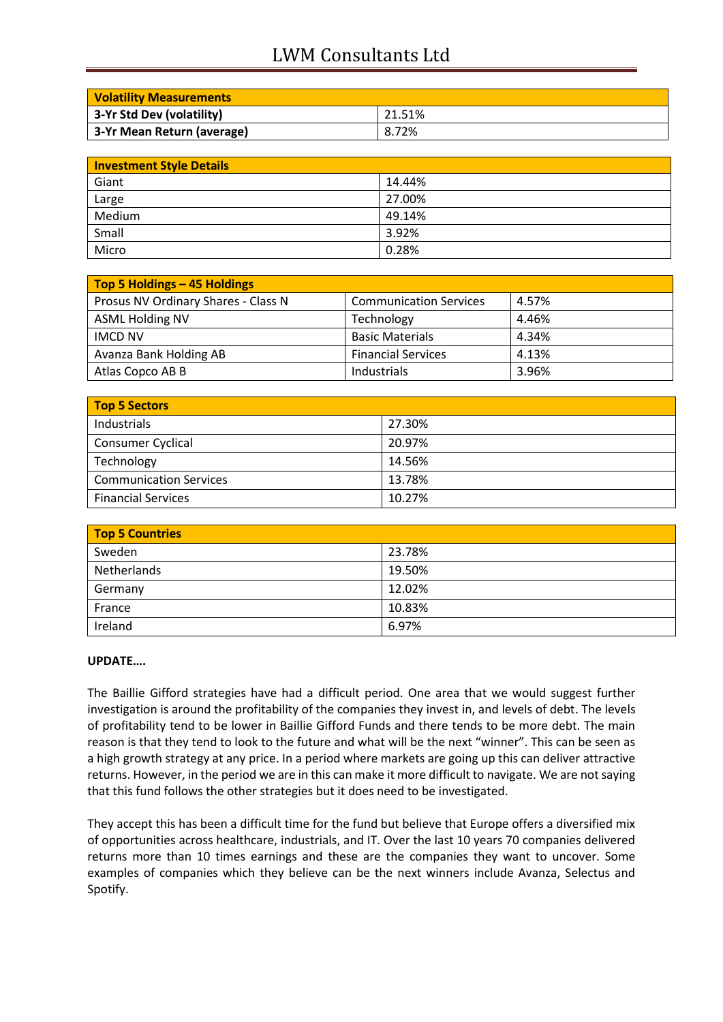# LWM Consultants Ltd

| <b>Volatility Measurements</b> |        |
|--------------------------------|--------|
| 3-Yr Std Dev (volatility)      | 21.51% |
| 3-Yr Mean Return (average)     | 8.72%  |

| <b>Investment Style Details</b> |        |  |
|---------------------------------|--------|--|
| Giant                           | 14.44% |  |
| Large                           | 27.00% |  |
| Medium                          | 49.14% |  |
| Small                           | 3.92%  |  |
| Micro                           | 0.28%  |  |

| Top 5 Holdings - 45 Holdings        |                               |       |
|-------------------------------------|-------------------------------|-------|
| Prosus NV Ordinary Shares - Class N | <b>Communication Services</b> | 4.57% |
| <b>ASML Holding NV</b>              | Technology                    | 4.46% |
| <b>IMCD NV</b>                      | <b>Basic Materials</b>        | 4.34% |
| Avanza Bank Holding AB              | <b>Financial Services</b>     | 4.13% |
| Atlas Copco AB B                    | Industrials                   | 3.96% |

| Top 5 Sectors                 |        |  |
|-------------------------------|--------|--|
| Industrials                   | 27.30% |  |
| <b>Consumer Cyclical</b>      | 20.97% |  |
| Technology                    | 14.56% |  |
| <b>Communication Services</b> | 13.78% |  |
| <b>Financial Services</b>     | 10.27% |  |

| <b>Top 5 Countries</b> |        |
|------------------------|--------|
| Sweden                 | 23.78% |
| Netherlands            | 19.50% |
| Germany                | 12.02% |
| France                 | 10.83% |
| Ireland                | 6.97%  |

## **UPDATE….**

The Baillie Gifford strategies have had a difficult period. One area that we would suggest further investigation is around the profitability of the companies they invest in, and levels of debt. The levels of profitability tend to be lower in Baillie Gifford Funds and there tends to be more debt. The main reason is that they tend to look to the future and what will be the next "winner". This can be seen as a high growth strategy at any price. In a period where markets are going up this can deliver attractive returns. However, in the period we are in this can make it more difficult to navigate. We are not saying that this fund follows the other strategies but it does need to be investigated.

They accept this has been a difficult time for the fund but believe that Europe offers a diversified mix of opportunities across healthcare, industrials, and IT. Over the last 10 years 70 companies delivered returns more than 10 times earnings and these are the companies they want to uncover. Some examples of companies which they believe can be the next winners include Avanza, Selectus and Spotify.